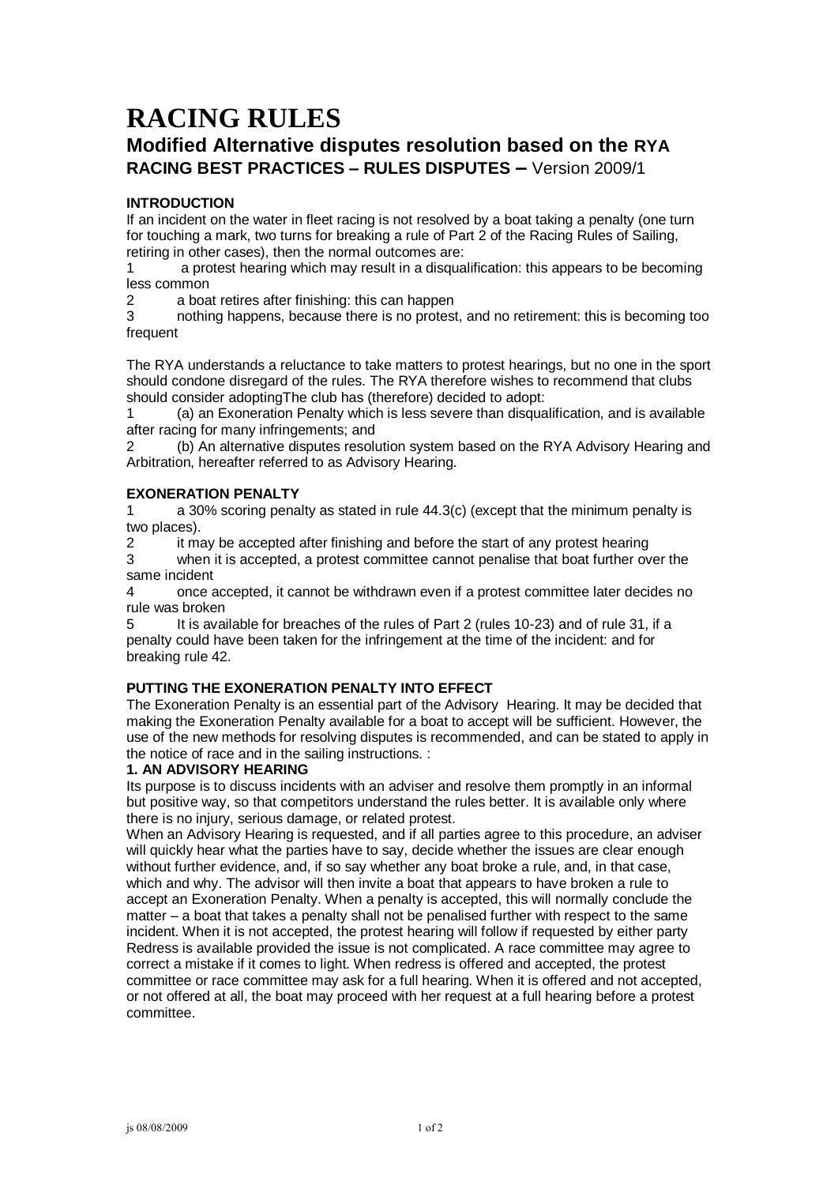# **RACING RULES**

# **Modified Alternative disputes resolution based on the RYA RACING BEST PRACTICES – RULES DISPUTES –** Version 2009/1

# **INTRODUCTION**

If an incident on the water in fleet racing is not resolved by a boat taking a penalty (one turn for touching a mark, two turns for breaking a rule of Part 2 of the Racing Rules of Sailing, retiring in other cases), then the normal outcomes are:

a protest hearing which may result in a disqualification: this appears to be becoming less common

2 a boat retires after finishing: this can happen

3 nothing happens, because there is no protest, and no retirement: this is becoming too frequent

The RYA understands a reluctance to take matters to protest hearings, but no one in the sport should condone disregard of the rules. The RYA therefore wishes to recommend that clubs should consider adoptingThe club has (therefore) decided to adopt:

1 (a) an Exoneration Penalty which is less severe than disqualification, and is available after racing for many infringements; and

2 (b) An alternative disputes resolution system based on the RYA Advisory Hearing and Arbitration, hereafter referred to as Advisory Hearing.

#### **EXONERATION PENALTY**

1 a 30% scoring penalty as stated in rule 44.3(c) (except that the minimum penalty is two places).

2 it may be accepted after finishing and before the start of any protest hearing

3 when it is accepted, a protest committee cannot penalise that boat further over the same incident

4 once accepted, it cannot be withdrawn even if a protest committee later decides no rule was broken

5 It is available for breaches of the rules of Part 2 (rules 10-23) and of rule 31, if a penalty could have been taken for the infringement at the time of the incident: and for breaking rule 42.

# **PUTTING THE EXONERATION PENALTY INTO EFFECT**

The Exoneration Penalty is an essential part of the Advisory Hearing. It may be decided that making the Exoneration Penalty available for a boat to accept will be sufficient. However, the use of the new methods for resolving disputes is recommended, and can be stated to apply in the notice of race and in the sailing instructions. :

# **1. AN ADVISORY HEARING**

Its purpose is to discuss incidents with an adviser and resolve them promptly in an informal but positive way, so that competitors understand the rules better. It is available only where there is no injury, serious damage, or related protest.

When an Advisory Hearing is requested, and if all parties agree to this procedure, an adviser will quickly hear what the parties have to say, decide whether the issues are clear enough without further evidence, and, if so say whether any boat broke a rule, and, in that case, which and why. The advisor will then invite a boat that appears to have broken a rule to accept an Exoneration Penalty. When a penalty is accepted, this will normally conclude the matter – a boat that takes a penalty shall not be penalised further with respect to the same incident. When it is not accepted, the protest hearing will follow if requested by either party Redress is available provided the issue is not complicated. A race committee may agree to correct a mistake if it comes to light. When redress is offered and accepted, the protest committee or race committee may ask for a full hearing. When it is offered and not accepted, or not offered at all, the boat may proceed with her request at a full hearing before a protest committee.